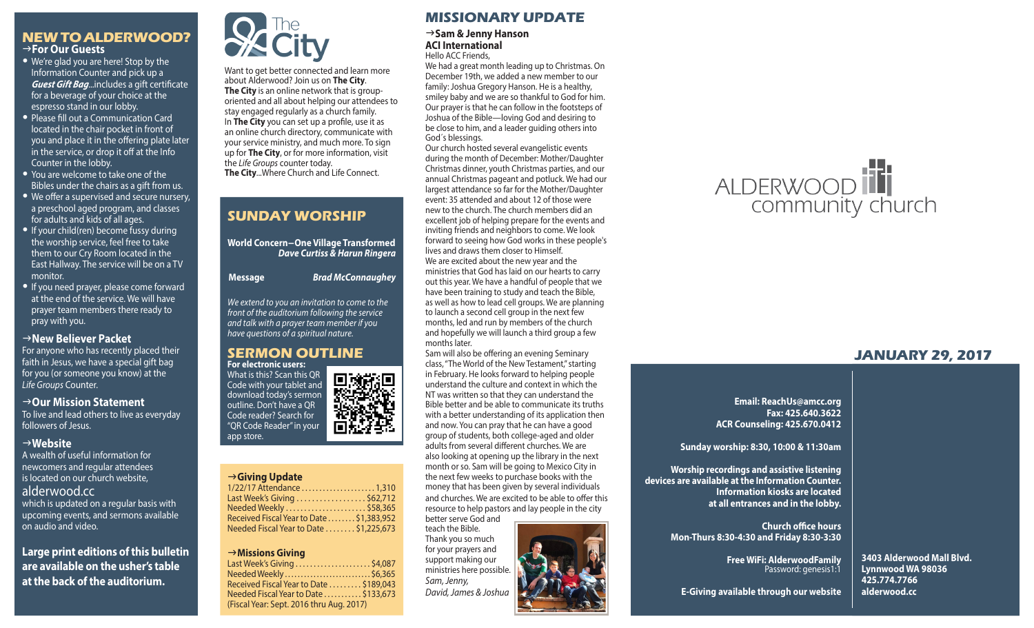#### **NEW TO ALDERWOOD?** g**For Our Guests**

- We're glad you are here! Stop by the Information Counter and pick up a *Guest Gift Bag*...includes a gift certificate for a beverage of your choice at the espresso stand in our lobby.
- Please fill out a Communication Card located in the chair pocket in front of you and place it in the offering plate later in the service, or drop it off at the Info Counter in the lobby.
- You are welcome to take one of the Bibles under the chairs as a gift from us.
- We offer a supervised and secure nursery, a preschool aged program, and classes for adults and kids of all ages.
- If your child(ren) become fussy during the worship service, feel free to take them to our Cry Room located in the East Hallway. The service will be on a TV monitor.
- If you need prayer, please come forward at the end of the service. We will have prayer team members there ready to pray with you.

#### **New Believer Packet**

For anyone who has recently placed their faith in Jesus, we have a special gift bag for you (or someone you know) at the *Life Groups* Counter.

#### → Our Mission Statement

To live and lead others to live as everyday followers of Jesus.

#### g**Website**

A wealth of useful information for newcomers and regular attendees is located on our church website, alderwood.cc which is updated on a regular basis with upcoming events, and sermons available on audio and video.

**Large print editions of this bulletin are available on the usher's table at the back of the auditorium.**



Want to get better connected and learn more about Alderwood? Join us on **The City**. **The City** is an online network that is grouporiented and all about helping our attendees to stay engaged regularly as a church family. In **The City** you can set up a profile, use it as an online church directory, communicate with your service ministry, and much more. To sign up for **The City**, or for more information, visit the *Life Groups* counter today. **The City**...Where Church and Life Connect.

# **SUNDAY WORSHIP**

**World Concern-One Village Transformed** *Dave Curtiss & Harun Ringera*

**Message** *Brad McConnaughey*

*We extend to you an invitation to come to the front of the auditorium following the service and talk with a prayer team member if you have questions of a spiritual nature.*

#### **SERMON OUTLINE For electronic users:**

What is this? Scan this QR 恩教源 Code with your tablet and download today's sermon outline. Don't have a QR Code reader? Search for "QR Code Reader" in your app store.

#### g**Giving Update**

| 1/22/17 Attendance  1,310                 |  |
|-------------------------------------------|--|
| Last Week's Giving \$62,712               |  |
| Needed Weekly \$58,365                    |  |
| Received Fiscal Year to Date  \$1,383,952 |  |
| Needed Fiscal Year to Date  \$1,225,673   |  |

#### g**Missions Giving**

| Last Week's Giving \$4,087               |  |
|------------------------------------------|--|
| Needed Weekly\$6,365                     |  |
| Received Fiscal Year to Date \$189,043   |  |
| Needed Fiscal Year to Date \$133,673     |  |
| (Fiscal Year: Sept. 2016 thru Aug. 2017) |  |
|                                          |  |

# **MISSIONARY UPDATE**

g**Sam & Jenny Hanson ACI International** Hello ACC Friends,

We had a great month leading up to Christmas. On December 19th, we added a new member to our family: Joshua Gregory Hanson. He is a healthy, smiley baby and we are so thankful to God for him. Our prayer is that he can follow in the footsteps of Joshua of the Bible—loving God and desiring to be close to him, and a leader guiding others into God´s blessings.

Our church hosted several evangelistic events during the month of December: Mother/Daughter Christmas dinner, youth Christmas parties, and our annual Christmas pageant and potluck. We had our largest attendance so far for the Mother/Daughter event: 35 attended and about 12 of those were new to the church. The church members did an excellent job of helping prepare for the events and inviting friends and neighbors to come. We look forward to seeing how God works in these people's lives and draws them closer to Himself. We are excited about the new year and the ministries that God has laid on our hearts to carry out this year. We have a handful of people that we have been training to study and teach the Bible, as well as how to lead cell groups. We are planning to launch a second cell group in the next few months, led and run by members of the church and hopefully we will launch a third group a few months later.

Sam will also be offering an evening Seminary class, "The World of the New Testament," starting in February. He looks forward to helping people understand the culture and context in which the NT was written so that they can understand the Bible better and be able to communicate its truths with a better understanding of its application then and now. You can pray that he can have a good group of students, both college-aged and older adults from several different churches. We are also looking at opening up the library in the next month or so. Sam will be going to Mexico City in the next few weeks to purchase books with the money that has been given by several individuals and churches. We are excited to be able to offer this resource to help pastors and lay people in the city better serve God and

teach the Bible. Thank you so much for your prayers and support making our ministries here possible. *Sam, Jenny, David, James & Joshua*



# ALDERWOOD

# **JANUARY 29, 2017**

**Email: ReachUs@amcc.org Fax: 425.640.3622 ACR Counseling: 425.670.0412**

**Sunday worship: 8:30, 10:00 & 11:30am**

**Worship recordings and assistive listening devices are available at the Information Counter. Information kiosks are located at all entrances and in the lobby.**

> **Church office hours Mon-Thurs 8:30-4:30 and Friday 8:30-3:30**

> > **Free WiFi: AlderwoodFamily**  Password: genesis1:1

**3403 Alderwood Mall Blvd. Lynnwood WA 98036 425.774.7766 alderwood.cc** 

**E-Giving available through our website**